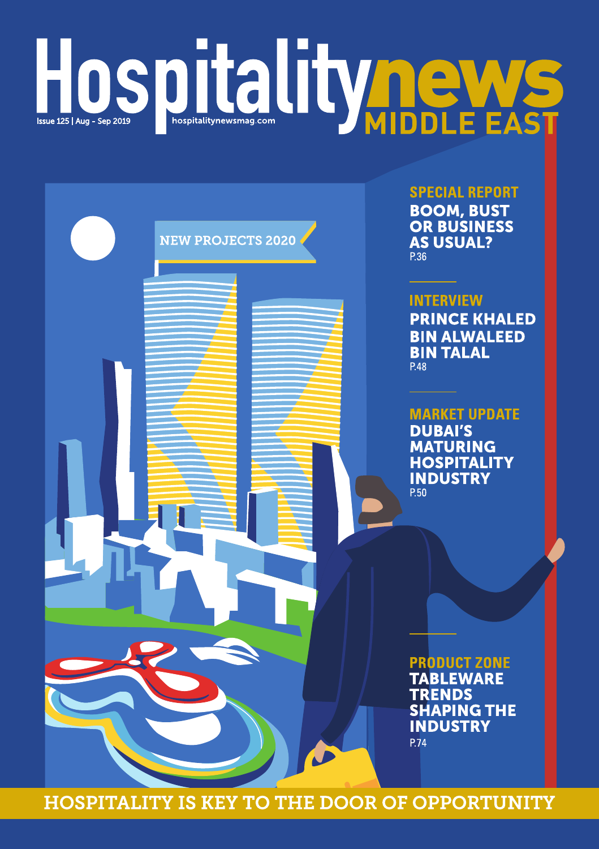# HOSDITALITY ONE FAST



**SPECIAL REPORT BOOM, BUST** 

**OR BUSINESS AS USUAL?** P.36

### **INTERVIEW**

**PRINCE KHALED BIN ALWALEED BIN TALAL** P.48

**MARKET UPDATE DUBAI'S MATURING HOSPITALITY INDUSTRY** P.50

**PRODUCT ZONE TABLEWARE TRENDS SHAPING THE INDUSTRY P.74** 

**HOSPITALITY IS KEY TO THE DOOR OF OPPORTUNITY**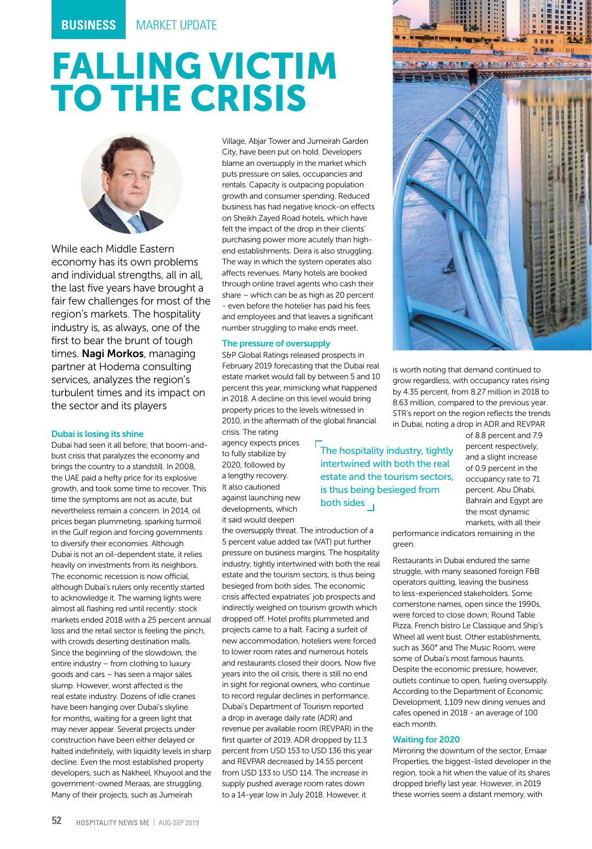## FALLING VICTIM TO THE CRISIS



While each Middle Eastern economy has its own problems and individual strengths, all in all, the last five years have brought a fair few challenges for most of the region's markets. The hospitality industry is, as always, one of the first to bear the brunt of tough times. Nagi Morkos, managing partner at Hodema consulting services, analyzes the region's turbulent times and its impact on the sector and its players

#### Dubai is losing its shine

Dubai had seen it all before; that boom-andbust crisis that paralyzes the economy and brings the country to a standstill. In 2008, the UAE paid a hefty price for its explosive growth, and took some time to recover. This time the symptoms are not as acute, but nevertheless remain a concern. In 2014, oil prices began plummeting, sparking turmoil in the Gulf region and forcing governments to diversify their economies. Although Dubai is not an oil-dependent state, it relies heavily on investments from its neighbors. The economic recession is now official, although Dubai's rulers only recently started to acknowledge it. The warning lights were almost all flashing red until recently: stock markets ended 2018 with a 25 percent annual loss and the retail sector is feeling the pinch, with crowds deserting destination malls. Since the beginning of the slowdown, the entire industry – from clothing to luxury goods and cars – has seen a major sales slump. However, worst affected is the real estate industry. Dozens of idle cranes have been hanging over Dubai's skyline for months, waiting for a green light that may never appear. Several projects under construction have been either delayed or halted indefinitely, with liquidity levels in sharp decline. Even the most established property developers, such as Nakheel, Khuyool and the government-owned Meraas, are struggling. Many of their projects, such as Jumeirah

Village, Abjar Tower and Jumeirah Garden City, have been put on hold. Developers blame an oversupply in the market which puts pressure on sales, occupancies and rentals. Capacity is outpacing population growth and consumer spending. Reduced business has had negative knock-on effects on Sheikh Zayed Road hotels, which have felt the impact of the drop in their clients' purchasing power more acutely than highend establishments. Deira is also struggling. The way in which the system operates also affects revenues. Many hotels are booked through online travel agents who cash their share – which can be as high as 20 percent even before the hotelier has paid his fees and employees and that leaves a significant number struggling to make ends meet.

#### The pressure of oversupply

S&P Global Ratings released prospects in February 2019 forecasting that the Dubai real estate market would fall by between 5 and 10 percent this year, mimicking what happened in 2018. A decline on this level would bring property prices to the levels witnessed in 2010, in the aftermath of the global financial crisis. The rating

agency expects prices to fully stabilize by 2020, followed by a lengthy recovery. It also cautioned against launching new developments, which it said would deepen

the oversupply threat. The introduction of a 5 percent value added tax (VAT) put further pressure on business margins. The hospitality industry, tightly intertwined with both the real estate and the tourism sectors, is thus being besieged from both sides. The economic crisis affected expatriates' job prospects and indirectly weighed on tourism growth which dropped off. Hotel profits plummeted and projects came to a halt. Facing a surfeit of new accommodation, hoteliers were forced to lower room rates and numerous hotels and restaurants closed their doors. Now five years into the oil crisis, there is still no end in sight for regional owners, who continue to record regular declines in performance. Dubai's Department of Tourism reported a drop in average daily rate (ADR) and revenue per available room (REVPAR) in the first quarter of 2019. ADR dropped by 11.3 percent from USD 153 to USD 136 this year and REVPAR decreased by 14.55 percent from USD 133 to USD 114. The increase in supply pushed average room rates down to a 14-year low in July 2018. However, it

The hospitality industry, tightly intertwined with both the real estate and the tourism sectors, is thus being besieged from both sides 1

**A DAY REGISTER COMPANY** 

is worth noting that demand continued to grow regardless, with occupancy rates rising by 4.35 percent, from 8.27 million in 2018 to 8.63 million, compared to the previous year. STR's report on the region reflects the trends in Dubai, noting a drop in ADR and REVPAR

> of 8.8 percent and 7.9 percent respectively, and a slight increase of 0.9 percent in the occupancy rate to 71 percent. Abu Dhabi, Bahrain and Egypt are the most dynamic markets, with all their

performance indicators remaining in the green.

Restaurants in Dubai endured the same struggle, with many seasoned foreign F&B operators quitting, leaving the business to less-experienced stakeholders. Some cornerstone names, open since the 1990s, were forced to close down; Round Table Pizza, French bistro Le Classique and Ship's Wheel all went bust. Other establishments, such as 360° and The Music Room, were some of Dubai's most famous haunts. Despite the economic pressure, however, outlets continue to open, fueling oversupply. According to the Department of Economic Development, 1,109 new dining venues and cafes opened in 2018 - an average of 100 each month.

#### Waiting for 2020

Mirroring the downturn of the sector, Emaar Properties, the biggest-listed developer in the region, took a hit when the value of its shares dropped briefly last year. However, in 2019 these worries seem a distant memory, with